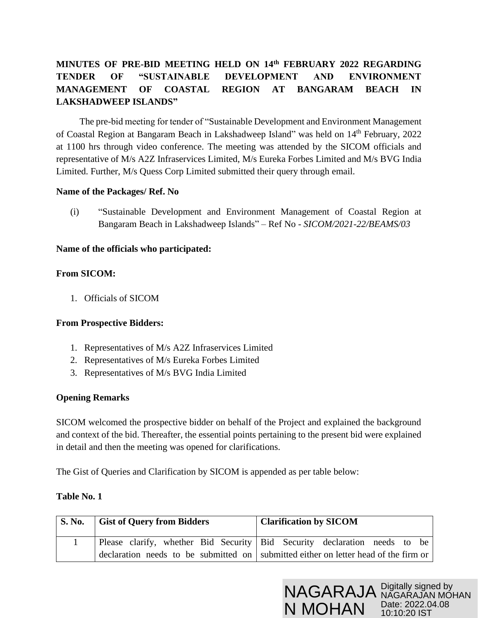# **MINUTES OF PRE-BID MEETING HELD ON 14th FEBRUARY 2022 REGARDING TENDER OF "SUSTAINABLE DEVELOPMENT AND ENVIRONMENT MANAGEMENT OF COASTAL REGION AT BANGARAM BEACH IN LAKSHADWEEP ISLANDS"**

 The pre-bid meeting for tender of "Sustainable Development and Environment Management of Coastal Region at Bangaram Beach in Lakshadweep Island" was held on 14<sup>th</sup> February, 2022 at 1100 hrs through video conference. The meeting was attended by the SICOM officials and representative of M/s A2Z Infraservices Limited, M/s Eureka Forbes Limited and M/s BVG India Limited. Further, M/s Quess Corp Limited submitted their query through email.

## **Name of the Packages/ Ref. No**

(i) "Sustainable Development and Environment Management of Coastal Region at Bangaram Beach in Lakshadweep Islands" – Ref No - *SICOM/2021-22/BEAMS/03*

## **Name of the officials who participated:**

## **From SICOM:**

1. Officials of SICOM

#### **From Prospective Bidders:**

- 1. Representatives of M/s A2Z Infraservices Limited
- 2. Representatives of M/s Eureka Forbes Limited
- 3. Representatives of M/s BVG India Limited

#### **Opening Remarks**

SICOM welcomed the prospective bidder on behalf of the Project and explained the background and context of the bid. Thereafter, the essential points pertaining to the present bid were explained in detail and then the meeting was opened for clarifications.

The Gist of Queries and Clarification by SICOM is appended as per table below:

#### **Table No. 1**

| S. No. Gist of Query from Bidders | <b>Clarification by SICOM</b>                                                       |  |
|-----------------------------------|-------------------------------------------------------------------------------------|--|
|                                   | Please clarify, whether Bid Security   Bid Security declaration needs to be         |  |
|                                   | declaration needs to be submitted on submitted either on letter head of the firm or |  |

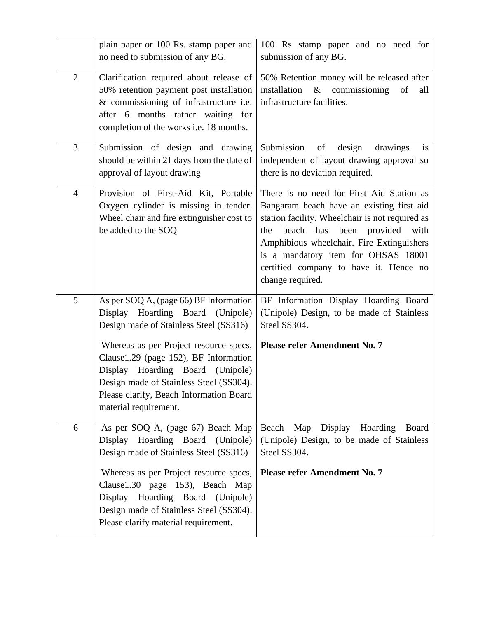|                | plain paper or 100 Rs. stamp paper and<br>no need to submission of any BG.                                                                                                                                                                                                                                                                                 | 100 Rs stamp paper and no need for<br>submission of any BG.                                                                                                                                                                                                                                                                              |  |
|----------------|------------------------------------------------------------------------------------------------------------------------------------------------------------------------------------------------------------------------------------------------------------------------------------------------------------------------------------------------------------|------------------------------------------------------------------------------------------------------------------------------------------------------------------------------------------------------------------------------------------------------------------------------------------------------------------------------------------|--|
| $\overline{2}$ | Clarification required about release of<br>50% retention payment post installation<br>& commissioning of infrastructure i.e.<br>after 6 months rather waiting for<br>completion of the works i.e. 18 months.                                                                                                                                               | 50% Retention money will be released after<br>installation & commissioning<br>of<br>all<br>infrastructure facilities.                                                                                                                                                                                                                    |  |
| 3              | Submission of design and drawing<br>should be within 21 days from the date of<br>approval of layout drawing                                                                                                                                                                                                                                                | of<br>Submission<br>design<br>drawings<br>is<br>independent of layout drawing approval so<br>there is no deviation required.                                                                                                                                                                                                             |  |
| $\overline{4}$ | Provision of First-Aid Kit, Portable<br>Oxygen cylinder is missing in tender.<br>Wheel chair and fire extinguisher cost to<br>be added to the SOQ                                                                                                                                                                                                          | There is no need for First Aid Station as<br>Bangaram beach have an existing first aid<br>station facility. Wheelchair is not required as<br>beach has<br>been<br>provided with<br>the<br>Amphibious wheelchair. Fire Extinguishers<br>is a mandatory item for OHSAS 18001<br>certified company to have it. Hence no<br>change required. |  |
| 5              | As per SOQ A, (page 66) BF Information<br>Display Hoarding Board (Unipole)<br>Design made of Stainless Steel (SS316)<br>Whereas as per Project resource specs,<br>Clause1.29 (page 152), BF Information<br>Display Hoarding Board (Unipole)<br>Design made of Stainless Steel (SS304).<br>Please clarify, Beach Information Board<br>material requirement. | BF Information Display Hoarding Board<br>(Unipole) Design, to be made of Stainless<br>Steel SS304.<br><b>Please refer Amendment No. 7</b>                                                                                                                                                                                                |  |
| 6              | As per SOQ A, (page 67) Beach Map<br>Display Hoarding Board (Unipole)<br>Design made of Stainless Steel (SS316)<br>Whereas as per Project resource specs,<br>Clause1.30 page 153), Beach Map<br>Hoarding Board (Unipole)<br>Display<br>Design made of Stainless Steel (SS304).<br>Please clarify material requirement.                                     | Beach<br>Map<br>Display<br>Hoarding<br>Board<br>(Unipole) Design, to be made of Stainless<br>Steel SS304.<br><b>Please refer Amendment No. 7</b>                                                                                                                                                                                         |  |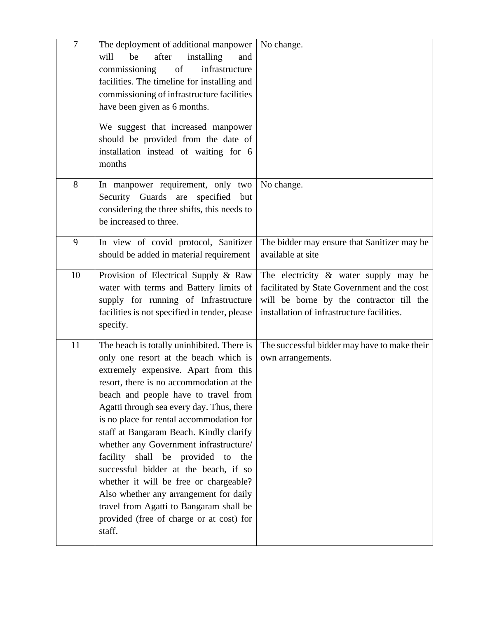| $\overline{7}$ | The deployment of additional manpower<br>installing<br>be<br>after<br>will<br>and<br>commissioning<br>of<br>infrastructure<br>facilities. The timeline for installing and<br>commissioning of infrastructure facilities<br>have been given as 6 months.<br>We suggest that increased manpower<br>should be provided from the date of<br>installation instead of waiting for 6<br>months                                                                                                                                                                                                                                                                                   | No change.                                                                                                                                                                         |
|----------------|---------------------------------------------------------------------------------------------------------------------------------------------------------------------------------------------------------------------------------------------------------------------------------------------------------------------------------------------------------------------------------------------------------------------------------------------------------------------------------------------------------------------------------------------------------------------------------------------------------------------------------------------------------------------------|------------------------------------------------------------------------------------------------------------------------------------------------------------------------------------|
| 8              | In manpower requirement, only two<br>Security Guards are<br>specified but<br>considering the three shifts, this needs to<br>be increased to three.                                                                                                                                                                                                                                                                                                                                                                                                                                                                                                                        | No change.                                                                                                                                                                         |
| 9              | In view of covid protocol, Sanitizer<br>should be added in material requirement                                                                                                                                                                                                                                                                                                                                                                                                                                                                                                                                                                                           | The bidder may ensure that Sanitizer may be<br>available at site                                                                                                                   |
| 10             | Provision of Electrical Supply & Raw<br>water with terms and Battery limits of<br>supply for running of Infrastructure<br>facilities is not specified in tender, please<br>specify.                                                                                                                                                                                                                                                                                                                                                                                                                                                                                       | The electricity $\&$ water supply may be<br>facilitated by State Government and the cost<br>will be borne by the contractor till the<br>installation of infrastructure facilities. |
| 11             | The beach is totally uninhibited. There is<br>only one resort at the beach which is<br>extremely expensive. Apart from this<br>resort, there is no accommodation at the<br>beach and people have to travel from<br>Agatti through sea every day. Thus, there<br>is no place for rental accommodation for<br>staff at Bangaram Beach. Kindly clarify<br>whether any Government infrastructure/<br>facility<br>shall<br>be provided to<br>the<br>successful bidder at the beach, if so<br>whether it will be free or chargeable?<br>Also whether any arrangement for daily<br>travel from Agatti to Bangaram shall be<br>provided (free of charge or at cost) for<br>staff. | The successful bidder may have to make their<br>own arrangements.                                                                                                                  |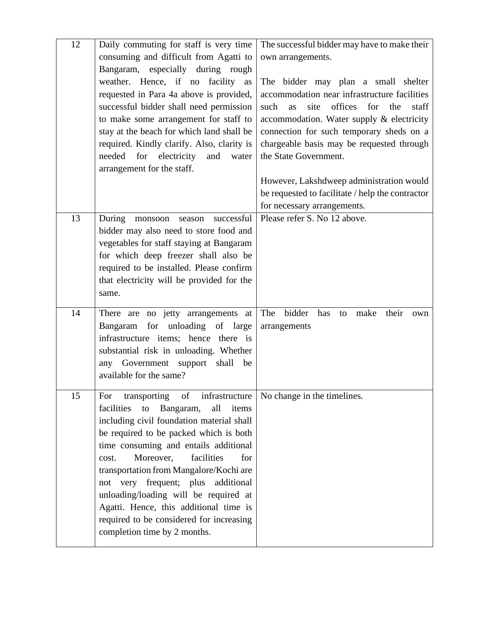| 12 | Daily commuting for staff is very time<br>consuming and difficult from Agatti to                                                                                                                                                                                                                                                                                                                                                                                                                                        | The successful bidder may have to make their<br>own arrangements.                                                                                                                                                                                                                                                                                      |  |
|----|-------------------------------------------------------------------------------------------------------------------------------------------------------------------------------------------------------------------------------------------------------------------------------------------------------------------------------------------------------------------------------------------------------------------------------------------------------------------------------------------------------------------------|--------------------------------------------------------------------------------------------------------------------------------------------------------------------------------------------------------------------------------------------------------------------------------------------------------------------------------------------------------|--|
|    | Bangaram, especially during rough<br>weather. Hence, if no facility as<br>requested in Para 4a above is provided,<br>successful bidder shall need permission<br>to make some arrangement for staff to<br>stay at the beach for which land shall be<br>required. Kindly clarify. Also, clarity is<br>needed for electricity<br>and<br>water<br>arrangement for the staff.                                                                                                                                                | The bidder may plan a small shelter<br>accommodation near infrastructure facilities<br>offices<br>for<br>such<br>site<br>the<br>staff<br>as<br>accommodation. Water supply & electricity<br>connection for such temporary sheds on a<br>chargeable basis may be requested through<br>the State Government.<br>However, Lakshdweep administration would |  |
|    |                                                                                                                                                                                                                                                                                                                                                                                                                                                                                                                         | be requested to facilitate / help the contractor<br>for necessary arrangements.                                                                                                                                                                                                                                                                        |  |
| 13 | During<br>successful<br>monsoon<br>season<br>bidder may also need to store food and<br>vegetables for staff staying at Bangaram<br>for which deep freezer shall also be<br>required to be installed. Please confirm<br>that electricity will be provided for the<br>same.                                                                                                                                                                                                                                               | Please refer S. No 12 above.                                                                                                                                                                                                                                                                                                                           |  |
| 14 | There are no jetty arrangements at<br>Bangaram for unloading of large<br>infrastructure items; hence<br>there is<br>substantial risk in unloading. Whether<br>any Government<br>shall<br>support<br>be<br>available for the same?                                                                                                                                                                                                                                                                                       | The<br>bidder<br>has<br>make<br>their<br>to<br>own<br>arrangements                                                                                                                                                                                                                                                                                     |  |
| 15 | transporting of infrastructure<br>For<br>facilities<br>all<br>to<br>Bangaram,<br>items<br>including civil foundation material shall<br>be required to be packed which is both<br>time consuming and entails additional<br>facilities<br>Moreover,<br>for<br>cost.<br>transportation from Mangalore/Kochi are<br>very frequent; plus<br>additional<br>not<br>unloading/loading will be required at<br>Agatti. Hence, this additional time is<br>required to be considered for increasing<br>completion time by 2 months. | No change in the timelines.                                                                                                                                                                                                                                                                                                                            |  |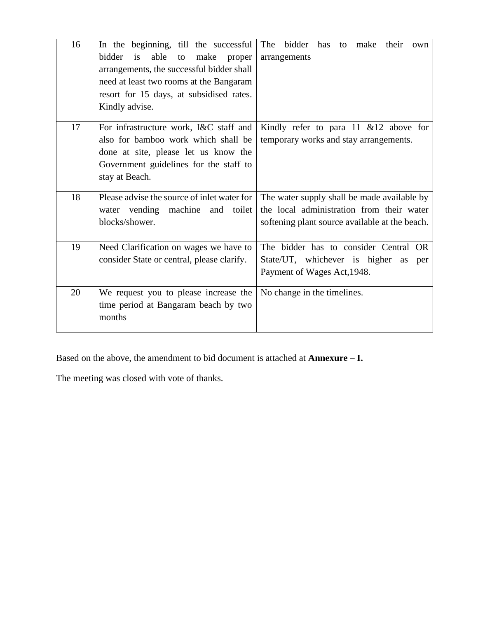| 16 | In the beginning, till the successful<br>able<br>bidder<br>is<br>make<br>to<br>proper<br>arrangements, the successful bidder shall<br>need at least two rooms at the Bangaram     | The bidder<br>has<br>make<br>their<br>to<br>own<br>arrangements                                                                            |
|----|-----------------------------------------------------------------------------------------------------------------------------------------------------------------------------------|--------------------------------------------------------------------------------------------------------------------------------------------|
|    | resort for 15 days, at subsidised rates.<br>Kindly advise.                                                                                                                        |                                                                                                                                            |
| 17 | For infrastructure work, I&C staff and<br>also for bamboo work which shall be<br>done at site, please let us know the<br>Government guidelines for the staff to<br>stay at Beach. | Kindly refer to para 11 $&12$ above for<br>temporary works and stay arrangements.                                                          |
| 18 | Please advise the source of inlet water for<br>water vending machine and<br>toilet<br>blocks/shower.                                                                              | The water supply shall be made available by<br>the local administration from their water<br>softening plant source available at the beach. |
| 19 | Need Clarification on wages we have to<br>consider State or central, please clarify.                                                                                              | The bidder has to consider Central OR<br>State/UT, whichever is higher<br>as<br>per<br>Payment of Wages Act, 1948.                         |
| 20 | We request you to please increase the<br>time period at Bangaram beach by two<br>months                                                                                           | No change in the timelines.                                                                                                                |

Based on the above, the amendment to bid document is attached at **Annexure – I.**

The meeting was closed with vote of thanks.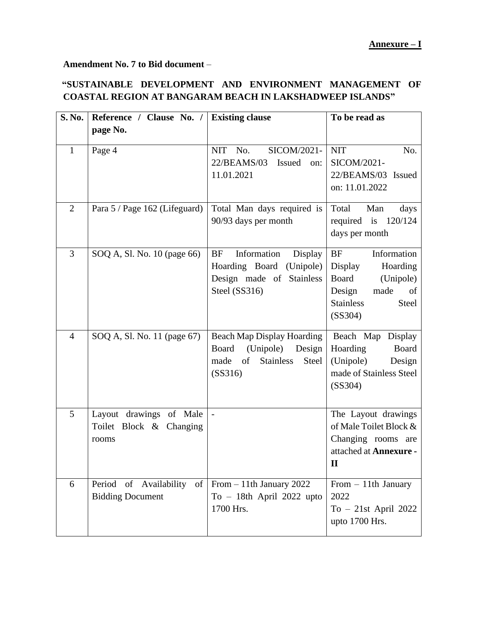**Amendment No. 7 to Bid document** –

## **"SUSTAINABLE DEVELOPMENT AND ENVIRONMENT MANAGEMENT OF COASTAL REGION AT BANGARAM BEACH IN LAKSHADWEEP ISLANDS"**

| S. No.         | Reference / Clause No. /                                    | <b>Existing clause</b>                                                                                                  | To be read as                                                                                                                         |
|----------------|-------------------------------------------------------------|-------------------------------------------------------------------------------------------------------------------------|---------------------------------------------------------------------------------------------------------------------------------------|
|                | page No.                                                    |                                                                                                                         |                                                                                                                                       |
| $\mathbf{1}$   | Page 4                                                      | <b>NIT</b><br>No.<br>SICOM/2021-<br>22/BEAMS/03<br>Issued<br>on:<br>11.01.2021                                          | <b>NIT</b><br>No.<br>SICOM/2021-<br>22/BEAMS/03 Issued<br>on: 11.01.2022                                                              |
| $\overline{2}$ | Para 5 / Page 162 (Lifeguard)                               | Total Man days required is<br>90/93 days per month                                                                      | Total<br>Man<br>days<br>required is $120/124$<br>days per month                                                                       |
| 3              | SOQ A, Sl. No. 10 (page 66)                                 | Information<br><b>BF</b><br>Display<br>Hoarding Board<br>(Unipole)<br>Design made of Stainless<br>Steel (SS316)         | $\rm{BF}$<br>Information<br>Display<br>Hoarding<br>Board<br>(Unipole)<br>Design<br>made<br>of<br><b>Stainless</b><br>Steel<br>(SS304) |
| $\overline{4}$ | SOQ A, Sl. No. 11 (page 67)                                 | <b>Beach Map Display Hoarding</b><br>Board<br>(Unipole)<br>Design<br>of<br><b>Stainless</b><br>made<br>Steel<br>(SS316) | Beach Map Display<br>Hoarding<br>Board<br>(Unipole)<br>Design<br>made of Stainless Steel<br>(SS304)                                   |
| 5              | Layout drawings of Male<br>Toilet Block & Changing<br>rooms | $\overline{a}$                                                                                                          | The Layout drawings<br>of Male Toilet Block &<br>Changing rooms are<br>attached at Annexure -<br>$\mathbf H$                          |
| 6              | Period of Availability of<br><b>Bidding Document</b>        | From $-11$ th January 2022<br>$To - 18th$ April 2022 upto<br>1700 Hrs.                                                  | From $-11$ th January<br>2022<br>To $-21st$ April 2022<br>upto 1700 Hrs.                                                              |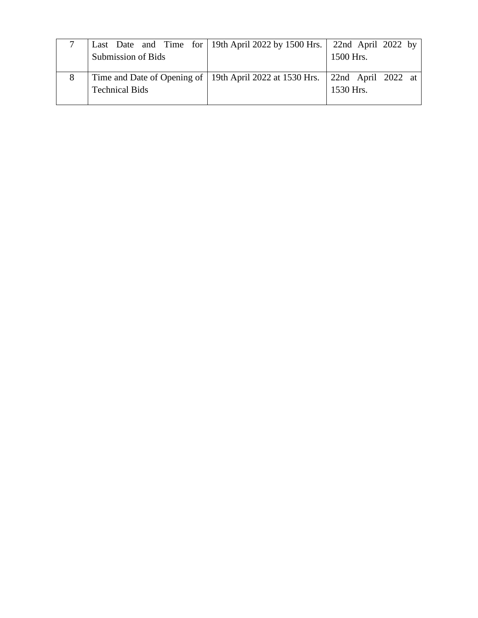|   |                       | Last Date and Time for 19th April 2022 by 1500 Hrs. 22nd April 2022 by          |           |
|---|-----------------------|---------------------------------------------------------------------------------|-----------|
|   | Submission of Bids    |                                                                                 | 1500 Hrs. |
|   |                       |                                                                                 |           |
| 8 |                       | Time and Date of Opening of   19th April 2022 at 1530 Hrs.   22nd April 2022 at |           |
|   | <b>Technical Bids</b> |                                                                                 | 1530 Hrs. |
|   |                       |                                                                                 |           |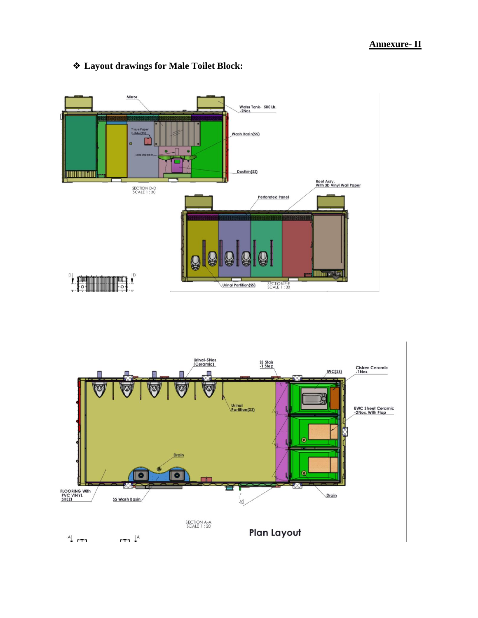



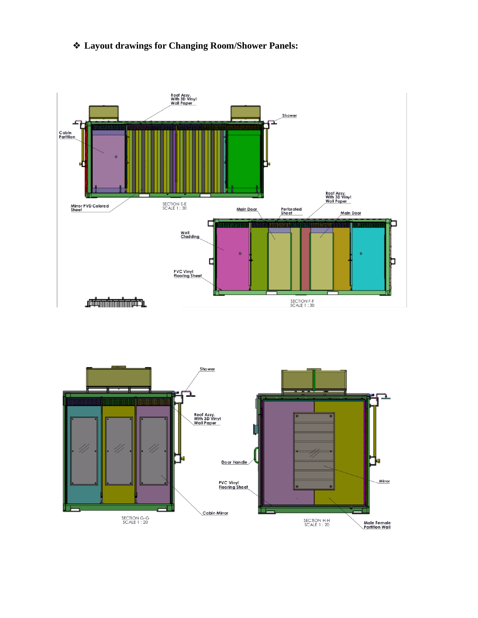## ❖ **Layout drawings for Changing Room/Shower Panels:**



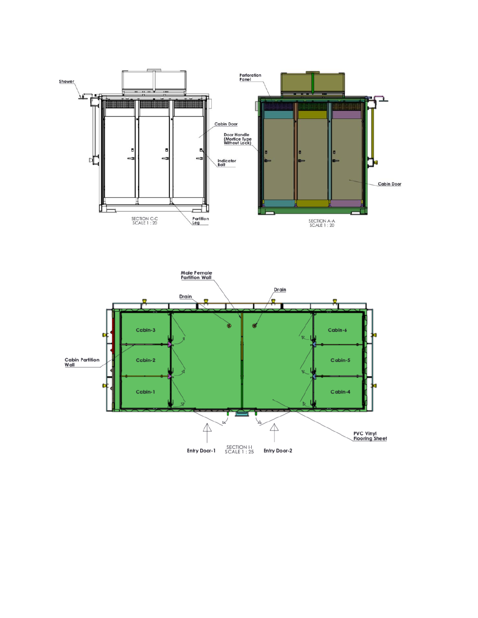